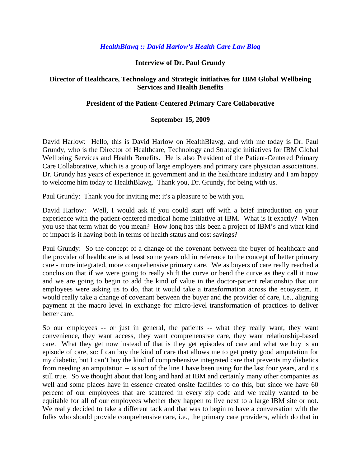# *HealthBlawg :: David Harlow's Health Care Law Blog*

# **Interview of Dr. Paul Grundy**

# **Director of Healthcare, Technology and Strategic initiatives for IBM Global Wellbeing Services and Health Benefits**

# **President of the Patient-Centered Primary Care Collaborative**

#### **September 15, 2009**

David Harlow: Hello, this is David Harlow on HealthBlawg, and with me today is Dr. Paul Grundy, who is the Director of Healthcare, Technology and Strategic initiatives for IBM Global Wellbeing Services and Health Benefits. He is also President of the Patient-Centered Primary Care Collaborative, which is a group of large employers and primary care physician associations. Dr. Grundy has years of experience in government and in the healthcare industry and I am happy to welcome him today to HealthBlawg. Thank you, Dr. Grundy, for being with us.

Paul Grundy: Thank you for inviting me; it's a pleasure to be with you.

David Harlow: Well, I would ask if you could start off with a brief introduction on your experience with the patient-centered medical home initiative at IBM. What is it exactly? When you use that term what do you mean? How long has this been a project of IBM's and what kind of impact is it having both in terms of health status and cost savings?

Paul Grundy: So the concept of a change of the covenant between the buyer of healthcare and the provider of healthcare is at least some years old in reference to the concept of better primary care - more integrated, more comprehensive primary care. We as buyers of care really reached a conclusion that if we were going to really shift the curve or bend the curve as they call it now and we are going to begin to add the kind of value in the doctor-patient relationship that our employees were asking us to do, that it would take a transformation across the ecosystem, it would really take a change of covenant between the buyer and the provider of care, i.e., aligning payment at the macro level in exchange for micro-level transformation of practices to deliver better care.

So our employees -- or just in general, the patients -- what they really want, they want convenience, they want access, they want comprehensive care, they want relationship-based care. What they get now instead of that is they get episodes of care and what we buy is an episode of care, so: I can buy the kind of care that allows me to get pretty good amputation for my diabetic, but I can't buy the kind of comprehensive integrated care that prevents my diabetics from needing an amputation -- is sort of the line I have been using for the last four years, and it's still true. So we thought about that long and hard at IBM and certainly many other companies as well and some places have in essence created onsite facilities to do this, but since we have 60 percent of our employees that are scattered in every zip code and we really wanted to be equitable for all of our employees whether they happen to live next to a large IBM site or not. We really decided to take a different tack and that was to begin to have a conversation with the folks who should provide comprehensive care, i.e., the primary care providers, which do that in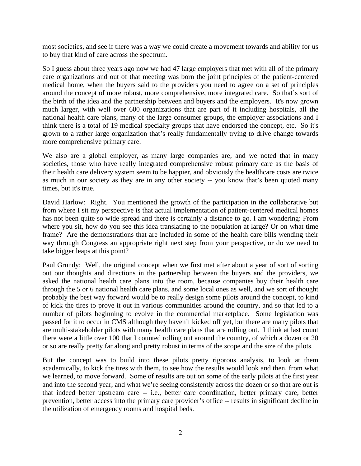most societies, and see if there was a way we could create a movement towards and ability for us to buy that kind of care across the spectrum.

So I guess about three years ago now we had 47 large employers that met with all of the primary care organizations and out of that meeting was born the joint principles of the patient-centered medical home, when the buyers said to the providers you need to agree on a set of principles around the concept of more robust, more comprehensive, more integrated care. So that's sort of the birth of the idea and the partnership between and buyers and the employers. It's now grown much larger, with well over 600 organizations that are part of it including hospitals, all the national health care plans, many of the large consumer groups, the employer associations and I think there is a total of 19 medical specialty groups that have endorsed the concept, etc. So it's grown to a rather large organization that's really fundamentally trying to drive change towards more comprehensive primary care.

We also are a global employer, as many large companies are, and we noted that in many societies, those who have really integrated comprehensive robust primary care as the basis of their health care delivery system seem to be happier, and obviously the healthcare costs are twice as much in our society as they are in any other society -- you know that's been quoted many times, but it's true.

David Harlow: Right. You mentioned the growth of the participation in the collaborative but from where I sit my perspective is that actual implementation of patient-centered medical homes has not been quite so wide spread and there is certainly a distance to go. I am wondering: From where you sit, how do you see this idea translating to the population at large? Or on what time frame? Are the demonstrations that are included in some of the health care bills wending their way through Congress an appropriate right next step from your perspective, or do we need to take bigger leaps at this point?

Paul Grundy: Well, the original concept when we first met after about a year of sort of sorting out our thoughts and directions in the partnership between the buyers and the providers, we asked the national health care plans into the room, because companies buy their health care through the 5 or 6 national health care plans, and some local ones as well, and we sort of thought probably the best way forward would be to really design some pilots around the concept, to kind of kick the tires to prove it out in various communities around the country, and so that led to a number of pilots beginning to evolve in the commercial marketplace. Some legislation was passed for it to occur in CMS although they haven't kicked off yet, but there are many pilots that are multi-stakeholder pilots with many health care plans that are rolling out. I think at last count there were a little over 100 that I counted rolling out around the country, of which a dozen or 20 or so are really pretty far along and pretty robust in terms of the scope and the size of the pilots.

But the concept was to build into these pilots pretty rigorous analysis, to look at them academically, to kick the tires with them, to see how the results would look and then, from what we learned, to move forward. Some of results are out on some of the early pilots at the first year and into the second year, and what we're seeing consistently across the dozen or so that are out is that indeed better upstream care -- i.e., better care coordination, better primary care, better prevention, better access into the primary care provider's office -- results in significant decline in the utilization of emergency rooms and hospital beds.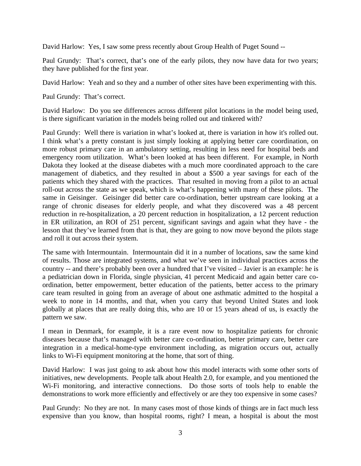David Harlow: Yes, I saw some press recently about Group Health of Puget Sound --

Paul Grundy: That's correct, that's one of the early pilots, they now have data for two years; they have published for the first year.

David Harlow: Yeah and so they and a number of other sites have been experimenting with this.

Paul Grundy: That's correct.

David Harlow: Do you see differences across different pilot locations in the model being used, is there significant variation in the models being rolled out and tinkered with?

Paul Grundy: Well there is variation in what's looked at, there is variation in how it's rolled out. I think what's a pretty constant is just simply looking at applying better care coordination, on more robust primary care in an ambulatory setting, resulting in less need for hospital beds and emergency room utilization. What's been looked at has been different. For example, in North Dakota they looked at the disease diabetes with a much more coordinated approach to the care management of diabetics, and they resulted in about a \$500 a year savings for each of the patients which they shared with the practices. That resulted in moving from a pilot to an actual roll-out across the state as we speak, which is what's happening with many of these pilots. The same in Geisinger. Geisinger did better care co-ordination, better upstream care looking at a range of chronic diseases for elderly people, and what they discovered was a 48 percent reduction in re-hospitalization, a 20 percent reduction in hospitalization, a 12 percent reduction in ER utilization, an ROI of 251 percent, significant savings and again what they have - the lesson that they've learned from that is that, they are going to now move beyond the pilots stage and roll it out across their system.

The same with Intermountain. Intermountain did it in a number of locations, saw the same kind of results. Those are integrated systems, and what we've seen in individual practices across the country -- and there's probably been over a hundred that I've visited – Javier is an example: he is a pediatrician down in Florida, single physician, 41 percent Medicaid and again better care coordination, better empowerment, better education of the patients, better access to the primary care team resulted in going from an average of about one asthmatic admitted to the hospital a week to none in 14 months, and that, when you carry that beyond United States and look globally at places that are really doing this, who are 10 or 15 years ahead of us, is exactly the pattern we saw.

I mean in Denmark, for example, it is a rare event now to hospitalize patients for chronic diseases because that's managed with better care co-ordination, better primary care, better care integration in a medical-home-type environment including, as migration occurs out, actually links to Wi-Fi equipment monitoring at the home, that sort of thing.

David Harlow: I was just going to ask about how this model interacts with some other sorts of initiatives, new developments. People talk about Health 2.0, for example, and you mentioned the Wi-Fi monitoring, and interactive connections. Do those sorts of tools help to enable the demonstrations to work more efficiently and effectively or are they too expensive in some cases?

Paul Grundy: No they are not. In many cases most of those kinds of things are in fact much less expensive than you know, than hospital rooms, right? I mean, a hospital is about the most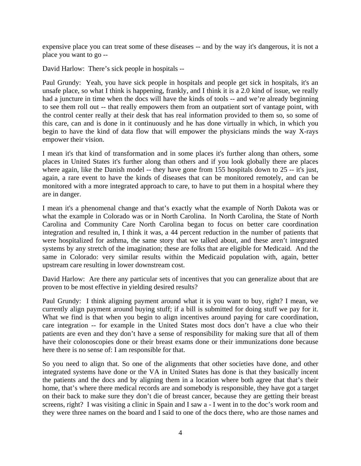expensive place you can treat some of these diseases -- and by the way it's dangerous, it is not a place you want to go --

David Harlow: There's sick people in hospitals --

Paul Grundy: Yeah, you have sick people in hospitals and people get sick in hospitals, it's an unsafe place, so what I think is happening, frankly, and I think it is a 2.0 kind of issue, we really had a juncture in time when the docs will have the kinds of tools -- and we're already beginning to see them roll out -- that really empowers them from an outpatient sort of vantage point, with the control center really at their desk that has real information provided to them so, so some of this care, can and is done in it continuously and he has done virtually in which, in which you begin to have the kind of data flow that will empower the physicians minds the way X-rays empower their vision.

I mean it's that kind of transformation and in some places it's further along than others, some places in United States it's further along than others and if you look globally there are places where again, like the Danish model -- they have gone from 155 hospitals down to 25 -- it's just, again, a rare event to have the kinds of diseases that can be monitored remotely, and can be monitored with a more integrated approach to care, to have to put them in a hospital where they are in danger.

I mean it's a phenomenal change and that's exactly what the example of North Dakota was or what the example in Colorado was or in North Carolina. In North Carolina, the State of North Carolina and Community Care North Carolina began to focus on better care coordination integration and resulted in, I think it was, a 44 percent reduction in the number of patients that were hospitalized for asthma, the same story that we talked about, and these aren't integrated systems by any stretch of the imagination; these are folks that are eligible for Medicaid. And the same in Colorado: very similar results within the Medicaid population with, again, better upstream care resulting in lower downstream cost.

David Harlow: Are there any particular sets of incentives that you can generalize about that are proven to be most effective in yielding desired results?

Paul Grundy: I think aligning payment around what it is you want to buy, right? I mean, we currently align payment around buying stuff; if a bill is submitted for doing stuff we pay for it. What we find is that when you begin to align incentives around paying for care coordination, care integration -- for example in the United States most docs don't have a clue who their patients are even and they don't have a sense of responsibility for making sure that all of them have their colonoscopies done or their breast exams done or their immunizations done because here there is no sense of: I am responsible for that.

So you need to align that. So one of the alignments that other societies have done, and other integrated systems have done or the VA in United States has done is that they basically incent the patients and the docs and by aligning them in a location where both agree that that's their home, that's where there medical records are and somebody is responsible, they have got a target on their back to make sure they don't die of breast cancer, because they are getting their breast screens, right? I was visiting a clinic in Spain and I saw a - I went in to the doc's work room and they were three names on the board and I said to one of the docs there, who are those names and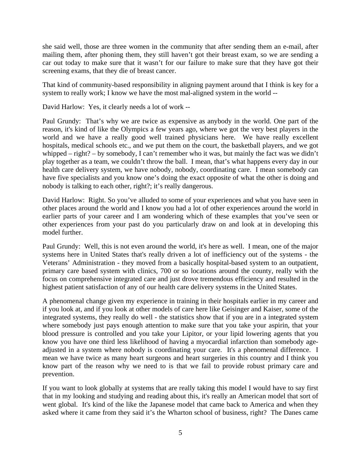she said well, those are three women in the community that after sending them an e-mail, after mailing them, after phoning them, they still haven't got their breast exam, so we are sending a car out today to make sure that it wasn't for our failure to make sure that they have got their screening exams, that they die of breast cancer.

That kind of community-based responsibility in aligning payment around that I think is key for a system to really work; I know we have the most mal-aligned system in the world --

David Harlow: Yes, it clearly needs a lot of work --

Paul Grundy: That's why we are twice as expensive as anybody in the world. One part of the reason, it's kind of like the Olympics a few years ago, where we got the very best players in the world and we have a really good well trained physicians here. We have really excellent hospitals, medical schools etc., and we put them on the court, the basketball players, and we got whipped – right? – by somebody, I can't remember who it was, but mainly the fact was we didn't play together as a team, we couldn't throw the ball. I mean, that's what happens every day in our health care delivery system, we have nobody, nobody, coordinating care. I mean somebody can have five specialists and you know one's doing the exact opposite of what the other is doing and nobody is talking to each other, right?; it's really dangerous.

David Harlow: Right. So you've alluded to some of your experiences and what you have seen in other places around the world and I know you had a lot of other experiences around the world in earlier parts of your career and I am wondering which of these examples that you've seen or other experiences from your past do you particularly draw on and look at in developing this model further.

Paul Grundy: Well, this is not even around the world, it's here as well. I mean, one of the major systems here in United States that's really driven a lot of inefficiency out of the systems - the Veterans' Administration - they moved from a basically hospital-based system to an outpatient, primary care based system with clinics, 700 or so locations around the county, really with the focus on comprehensive integrated care and just drove tremendous efficiency and resulted in the highest patient satisfaction of any of our health care delivery systems in the United States.

A phenomenal change given my experience in training in their hospitals earlier in my career and if you look at, and if you look at other models of care here like Geisinger and Kaiser, some of the integrated systems, they really do well - the statistics show that if you are in a integrated system where somebody just pays enough attention to make sure that you take your aspirin, that your blood pressure is controlled and you take your Lipitor, or your lipid lowering agents that you know you have one third less likelihood of having a myocardial infarction than somebody ageadjusted in a system where nobody is coordinating your care. It's a phenomenal difference. I mean we have twice as many heart surgeons and heart surgeries in this country and I think you know part of the reason why we need to is that we fail to provide robust primary care and prevention.

If you want to look globally at systems that are really taking this model I would have to say first that in my looking and studying and reading about this, it's really an American model that sort of went global. It's kind of the like the Japanese model that came back to America and when they asked where it came from they said it's the Wharton school of business, right? The Danes came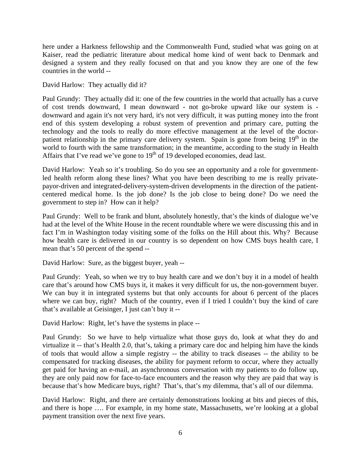here under a Harkness fellowship and the Commonwealth Fund, studied what was going on at Kaiser, read the pediatric literature about medical home kind of went back to Denmark and designed a system and they really focused on that and you know they are one of the few countries in the world --

David Harlow: They actually did it?

Paul Grundy: They actually did it: one of the few countries in the world that actually has a curve of cost trends downward, I mean downward - not go-broke upward like our system is downward and again it's not very hard, it's not very difficult, it was putting money into the front end of this system developing a robust system of prevention and primary care, putting the technology and the tools to really do more effective management at the level of the doctorpatient relationship in the primary care delivery system. Spain is gone from being 19<sup>th</sup> in the world to fourth with the same transformation; in the meantime, according to the study in Health Affairs that I've read we've gone to  $19<sup>th</sup>$  of 19 developed economies, dead last.

David Harlow: Yeah so it's troubling. So do you see an opportunity and a role for governmentled health reform along these lines? What you have been describing to me is really privatepayor-driven and integrated-delivery-system-driven developments in the direction of the patientcentered medical home. Is the job done? Is the job close to being done? Do we need the government to step in? How can it help?

Paul Grundy: Well to be frank and blunt, absolutely honestly, that's the kinds of dialogue we've had at the level of the White House in the recent roundtable where we were discussing this and in fact I'm in Washington today visiting some of the folks on the Hill about this. Why? Because how health care is delivered in our country is so dependent on how CMS buys health care, I mean that's 50 percent of the spend --

David Harlow: Sure, as the biggest buyer, yeah --

Paul Grundy: Yeah, so when we try to buy health care and we don't buy it in a model of health care that's around how CMS buys it, it makes it very difficult for us, the non-government buyer. We can buy it in integrated systems but that only accounts for about 6 percent of the places where we can buy, right? Much of the country, even if I tried I couldn't buy the kind of care that's available at Geisinger, I just can't buy it --

David Harlow: Right, let's have the systems in place --

Paul Grundy: So we have to help virtualize what those guys do, look at what they do and virtualize it -- that's Health 2.0, that's, taking a primary care doc and helping him have the kinds of tools that would allow a simple registry -- the ability to track diseases -- the ability to be compensated for tracking diseases, the ability for payment reform to occur, where they actually get paid for having an e-mail, an asynchronous conversation with my patients to do follow up, they are only paid now for face-to-face encounters and the reason why they are paid that way is because that's how Medicare buys, right? That's, that's my dilemma, that's all of our dilemma.

David Harlow: Right, and there are certainly demonstrations looking at bits and pieces of this, and there is hope …. For example, in my home state, Massachusetts, we're looking at a global payment transition over the next five years.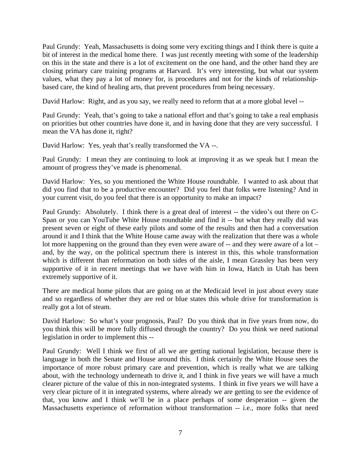Paul Grundy: Yeah, Massachusetts is doing some very exciting things and I think there is quite a bit of interest in the medical home there. I was just recently meeting with some of the leadership on this in the state and there is a lot of excitement on the one hand, and the other hand they are closing primary care training programs at Harvard. It's very interesting, but what our system values, what they pay a lot of money for, is procedures and not for the kinds of relationshipbased care, the kind of healing arts, that prevent procedures from being necessary.

David Harlow: Right, and as you say, we really need to reform that at a more global level --

Paul Grundy: Yeah, that's going to take a national effort and that's going to take a real emphasis on priorities but other countries have done it, and in having done that they are very successful. I mean the VA has done it, right?

David Harlow: Yes, yeah that's really transformed the VA --.

Paul Grundy: I mean they are continuing to look at improving it as we speak but I mean the amount of progress they've made is phenomenal.

David Harlow: Yes, so you mentioned the White House roundtable. I wanted to ask about that did you find that to be a productive encounter? Did you feel that folks were listening? And in your current visit, do you feel that there is an opportunity to make an impact?

Paul Grundy: Absolutely. I think there is a great deal of interest -- the video's out there on C-Span or you can YouTube White House roundtable and find it -- but what they really did was present seven or eight of these early pilots and some of the results and then had a conversation around it and I think that the White House came away with the realization that there was a whole lot more happening on the ground than they even were aware of -- and they were aware of a lot – and, by the way, on the political spectrum there is interest in this, this whole transformation which is different than reformation on both sides of the aisle, I mean Grassley has been very supportive of it in recent meetings that we have with him in Iowa, Hatch in Utah has been extremely supportive of it.

There are medical home pilots that are going on at the Medicaid level in just about every state and so regardless of whether they are red or blue states this whole drive for transformation is really got a lot of steam.

David Harlow: So what's your prognosis, Paul? Do you think that in five years from now, do you think this will be more fully diffused through the country? Do you think we need national legislation in order to implement this --

Paul Grundy: Well I think we first of all we are getting national legislation, because there is language in both the Senate and House around this. I think certainly the White House sees the importance of more robust primary care and prevention, which is really what we are talking about, with the technology underneath to drive it, and I think in five years we will have a much clearer picture of the value of this in non-integrated systems. I think in five years we will have a very clear picture of it in integrated systems, where already we are getting to see the evidence of that, you know and I think we'll be in a place perhaps of some desperation -- given the Massachusetts experience of reformation without transformation -- i.e., more folks that need